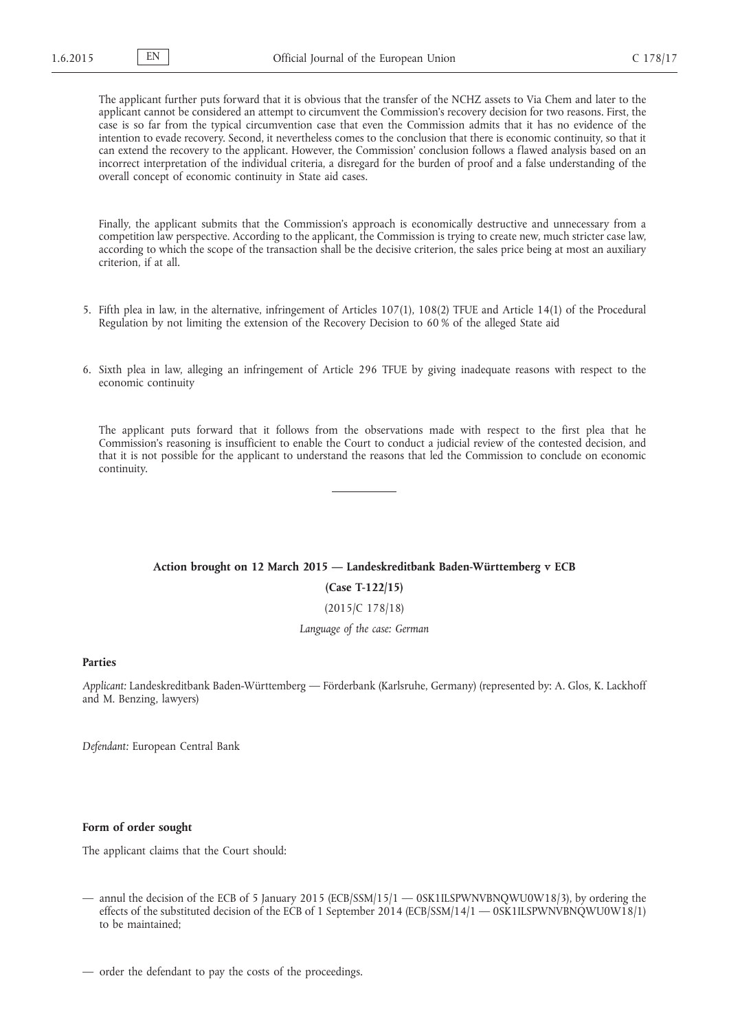The applicant further puts forward that it is obvious that the transfer of the NCHZ assets to Via Chem and later to the applicant cannot be considered an attempt to circumvent the Commission's recovery decision for two reasons. First, the case is so far from the typical circumvention case that even the Commission admits that it has no evidence of the intention to evade recovery. Second, it nevertheless comes to the conclusion that there is economic continuity, so that it can extend the recovery to the applicant. However, the Commission' conclusion follows a flawed analysis based on an incorrect interpretation of the individual criteria, a disregard for the burden of proof and a false understanding of the overall concept of economic continuity in State aid cases.

Finally, the applicant submits that the Commission's approach is economically destructive and unnecessary from a competition law perspective. According to the applicant, the Commission is trying to create new, much stricter case law, according to which the scope of the transaction shall be the decisive criterion, the sales price being at most an auxiliary criterion, if at all.

- 5. Fifth plea in law, in the alternative, infringement of Articles 107(1), 108(2) TFUE and Article 14(1) of the Procedural Regulation by not limiting the extension of the Recovery Decision to 60 % of the alleged State aid
- 6. Sixth plea in law, alleging an infringement of Article 296 TFUE by giving inadequate reasons with respect to the economic continuity

The applicant puts forward that it follows from the observations made with respect to the first plea that he Commission's reasoning is insufficient to enable the Court to conduct a judicial review of the contested decision, and that it is not possible for the applicant to understand the reasons that led the Commission to conclude on economic continuity.

#### **Action brought on 12 March 2015 — Landeskreditbank Baden-Württemberg v ECB**

**(Case T-122/15)**

(2015/C 178/18)

*Language of the case: German*

## **Parties**

*Applicant:* Landeskreditbank Baden-Württemberg — Förderbank (Karlsruhe, Germany) (represented by: A. Glos, K. Lackhoff and M. Benzing, lawyers)

*Defendant:* European Central Bank

### **Form of order sought**

The applicant claims that the Court should:

— annul the decision of the ECB of 5 January 2015 (ECB/SSM/15/1 — 0SK1ILSPWNVBNQWU0W18/3), by ordering the effects of the substituted decision of the ECB of 1 September 2014 (ECB/SSM/14/1 — 0SK1ILSPWNVBNQWU0W18/1) to be maintained;

— order the defendant to pay the costs of the proceedings.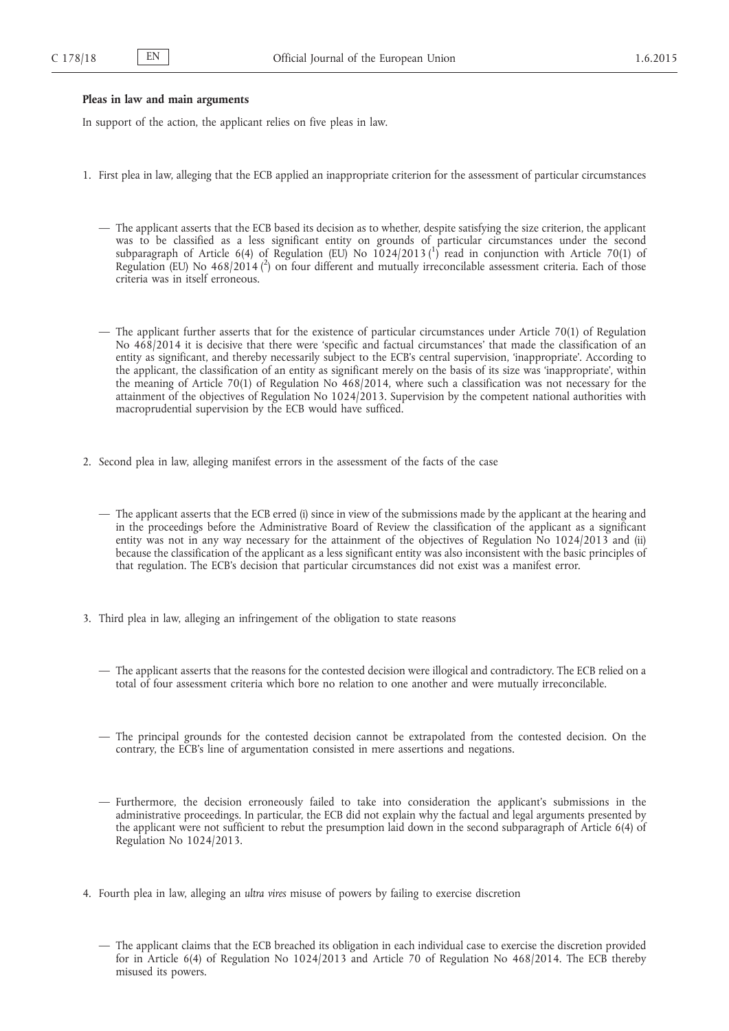### **Pleas in law and main arguments**

In support of the action, the applicant relies on five pleas in law.

- 1. First plea in law, alleging that the ECB applied an inappropriate criterion for the assessment of particular circumstances
	- The applicant asserts that the ECB based its decision as to whether, despite satisfying the size criterion, the applicant was to be classified as a less significant entity on grounds of particular circumstances under the second subparagraph of Article 6(4) of Regulation (EU) No  $1024/2013\binom{1}{1}$  read in conjunction with Article 70(1) of Regulation (EU) No 468/2014 (<sup>2</sup>) on four different and mutually irreconcilable assessment criteria. Each of those criteria was in itself erroneous.
	- The applicant further asserts that for the existence of particular circumstances under Article 70(1) of Regulation No 468/2014 it is decisive that there were 'specific and factual circumstances' that made the classification of an entity as significant, and thereby necessarily subject to the ECB's central supervision, 'inappropriate'. According to the applicant, the classification of an entity as significant merely on the basis of its size was 'inappropriate', within the meaning of Article 70(1) of Regulation No 468/2014, where such a classification was not necessary for the attainment of the objectives of Regulation No 1024/2013. Supervision by the competent national authorities with macroprudential supervision by the ECB would have sufficed.
- 2. Second plea in law, alleging manifest errors in the assessment of the facts of the case
	- The applicant asserts that the ECB erred (i) since in view of the submissions made by the applicant at the hearing and in the proceedings before the Administrative Board of Review the classification of the applicant as a significant entity was not in any way necessary for the attainment of the objectives of Regulation No 1024/2013 and (ii) because the classification of the applicant as a less significant entity was also inconsistent with the basic principles of that regulation. The ECB's decision that particular circumstances did not exist was a manifest error.
- 3. Third plea in law, alleging an infringement of the obligation to state reasons
	- The applicant asserts that the reasons for the contested decision were illogical and contradictory. The ECB relied on a total of four assessment criteria which bore no relation to one another and were mutually irreconcilable.
	- The principal grounds for the contested decision cannot be extrapolated from the contested decision. On the contrary, the ECB's line of argumentation consisted in mere assertions and negations.
	- Furthermore, the decision erroneously failed to take into consideration the applicant's submissions in the administrative proceedings. In particular, the ECB did not explain why the factual and legal arguments presented by the applicant were not sufficient to rebut the presumption laid down in the second subparagraph of Article 6(4) of Regulation No 1024/2013.
- 4. Fourth plea in law, alleging an *ultra vires* misuse of powers by failing to exercise discretion
	- The applicant claims that the ECB breached its obligation in each individual case to exercise the discretion provided for in Article 6(4) of Regulation No 1024/2013 and Article 70 of Regulation No 468/2014. The ECB thereby misused its powers.